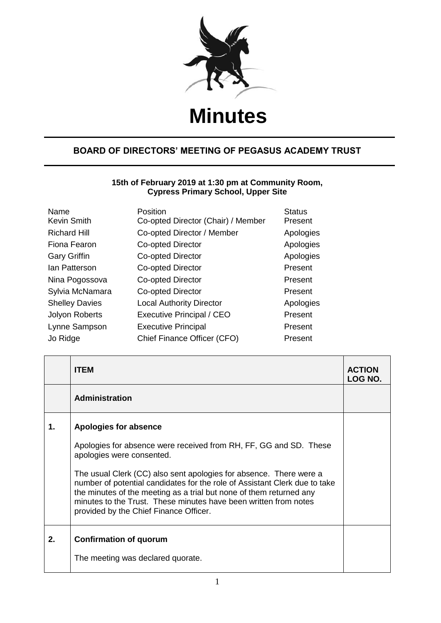

## **Minutes**

## **BOARD OF DIRECTORS' MEETING OF PEGASUS ACADEMY TRUST**

## **15th of February 2019 at 1:30 pm at Community Room, Cypress Primary School, Upper Site**

| Name<br><b>Kevin Smith</b> | Position<br>Co-opted Director (Chair) / Member | <b>Status</b><br>Present |
|----------------------------|------------------------------------------------|--------------------------|
| <b>Richard Hill</b>        | Co-opted Director / Member                     | Apologies                |
| Fiona Fearon               | <b>Co-opted Director</b>                       | Apologies                |
| <b>Gary Griffin</b>        | Co-opted Director                              | Apologies                |
| lan Patterson              | Co-opted Director                              | Present                  |
| Nina Pogossova             | Co-opted Director                              | Present                  |
| Sylvia McNamara            | Co-opted Director                              | Present                  |
| <b>Shelley Davies</b>      | <b>Local Authority Director</b>                | Apologies                |
| <b>Jolyon Roberts</b>      | <b>Executive Principal / CEO</b>               | Present                  |
| Lynne Sampson              | <b>Executive Principal</b>                     | Present                  |
| Jo Ridge                   | Chief Finance Officer (CFO)                    | Present                  |

|    | <b>ITEM</b>                                                                                                                                                                                                                                                                                                                           | <b>ACTION</b><br><b>LOG NO.</b> |
|----|---------------------------------------------------------------------------------------------------------------------------------------------------------------------------------------------------------------------------------------------------------------------------------------------------------------------------------------|---------------------------------|
|    | <b>Administration</b>                                                                                                                                                                                                                                                                                                                 |                                 |
| 1. | Apologies for absence                                                                                                                                                                                                                                                                                                                 |                                 |
|    | Apologies for absence were received from RH, FF, GG and SD. These<br>apologies were consented.                                                                                                                                                                                                                                        |                                 |
|    | The usual Clerk (CC) also sent apologies for absence. There were a<br>number of potential candidates for the role of Assistant Clerk due to take<br>the minutes of the meeting as a trial but none of them returned any<br>minutes to the Trust. These minutes have been written from notes<br>provided by the Chief Finance Officer. |                                 |
| 2. | <b>Confirmation of quorum</b>                                                                                                                                                                                                                                                                                                         |                                 |
|    | The meeting was declared quorate.                                                                                                                                                                                                                                                                                                     |                                 |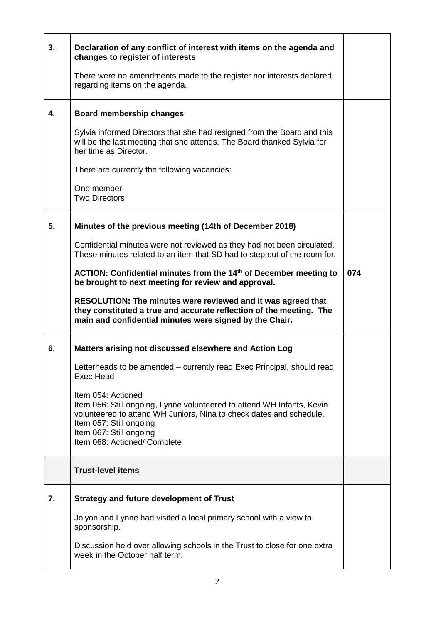| 3. | Declaration of any conflict of interest with items on the agenda and<br>changes to register of interests                                                                                                                                                  |     |
|----|-----------------------------------------------------------------------------------------------------------------------------------------------------------------------------------------------------------------------------------------------------------|-----|
|    | There were no amendments made to the register nor interests declared<br>regarding items on the agenda.                                                                                                                                                    |     |
| 4. | <b>Board membership changes</b>                                                                                                                                                                                                                           |     |
|    | Sylvia informed Directors that she had resigned from the Board and this<br>will be the last meeting that she attends. The Board thanked Sylvia for<br>her time as Director.                                                                               |     |
|    | There are currently the following vacancies:                                                                                                                                                                                                              |     |
|    | One member<br><b>Two Directors</b>                                                                                                                                                                                                                        |     |
| 5. | Minutes of the previous meeting (14th of December 2018)                                                                                                                                                                                                   |     |
|    | Confidential minutes were not reviewed as they had not been circulated.<br>These minutes related to an item that SD had to step out of the room for.                                                                                                      |     |
|    | ACTION: Confidential minutes from the 14 <sup>th</sup> of December meeting to<br>be brought to next meeting for review and approval.                                                                                                                      | 074 |
|    | RESOLUTION: The minutes were reviewed and it was agreed that<br>they constituted a true and accurate reflection of the meeting. The<br>main and confidential minutes were signed by the Chair.                                                            |     |
| 6. | Matters arising not discussed elsewhere and Action Log                                                                                                                                                                                                    |     |
|    | Letterheads to be amended – currently read Exec Principal, should read<br>Exec Head                                                                                                                                                                       |     |
|    | Item 054: Actioned<br>Item 056: Still ongoing, Lynne volunteered to attend WH Infants, Kevin<br>volunteered to attend WH Juniors, Nina to check dates and schedule.<br>Item 057: Still ongoing<br>Item 067: Still ongoing<br>Item 068: Actioned/ Complete |     |
|    | <b>Trust-level items</b>                                                                                                                                                                                                                                  |     |
| 7. | <b>Strategy and future development of Trust</b>                                                                                                                                                                                                           |     |
|    | Jolyon and Lynne had visited a local primary school with a view to<br>sponsorship.                                                                                                                                                                        |     |
|    | Discussion held over allowing schools in the Trust to close for one extra<br>week in the October half term.                                                                                                                                               |     |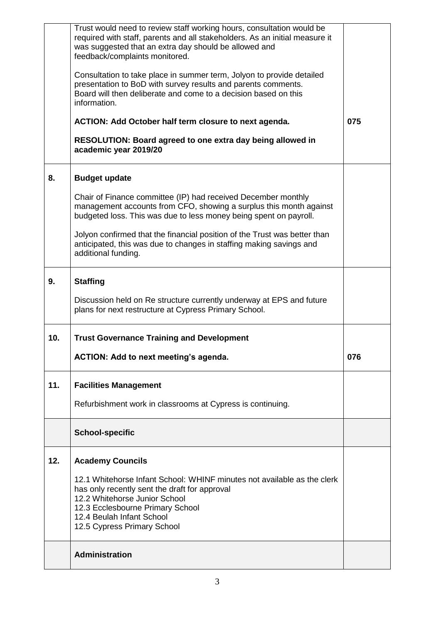|     | Trust would need to review staff working hours, consultation would be<br>required with staff, parents and all stakeholders. As an initial measure it<br>was suggested that an extra day should be allowed and<br>feedback/complaints monitored.           |     |
|-----|-----------------------------------------------------------------------------------------------------------------------------------------------------------------------------------------------------------------------------------------------------------|-----|
|     | Consultation to take place in summer term, Jolyon to provide detailed<br>presentation to BoD with survey results and parents comments.<br>Board will then deliberate and come to a decision based on this<br>information.                                 |     |
|     | ACTION: Add October half term closure to next agenda.                                                                                                                                                                                                     | 075 |
|     | RESOLUTION: Board agreed to one extra day being allowed in<br>academic year 2019/20                                                                                                                                                                       |     |
| 8.  | <b>Budget update</b>                                                                                                                                                                                                                                      |     |
|     | Chair of Finance committee (IP) had received December monthly<br>management accounts from CFO, showing a surplus this month against<br>budgeted loss. This was due to less money being spent on payroll.                                                  |     |
|     | Jolyon confirmed that the financial position of the Trust was better than<br>anticipated, this was due to changes in staffing making savings and<br>additional funding.                                                                                   |     |
| 9.  | <b>Staffing</b>                                                                                                                                                                                                                                           |     |
|     | Discussion held on Re structure currently underway at EPS and future<br>plans for next restructure at Cypress Primary School.                                                                                                                             |     |
| 10. | <b>Trust Governance Training and Development</b>                                                                                                                                                                                                          |     |
|     | ACTION: Add to next meeting's agenda.                                                                                                                                                                                                                     | 076 |
| 11. | <b>Facilities Management</b>                                                                                                                                                                                                                              |     |
|     | Refurbishment work in classrooms at Cypress is continuing.                                                                                                                                                                                                |     |
|     | <b>School-specific</b>                                                                                                                                                                                                                                    |     |
| 12. | <b>Academy Councils</b>                                                                                                                                                                                                                                   |     |
|     | 12.1 Whitehorse Infant School: WHINF minutes not available as the clerk<br>has only recently sent the draft for approval<br>12.2 Whitehorse Junior School<br>12.3 Ecclesbourne Primary School<br>12.4 Beulah Infant School<br>12.5 Cypress Primary School |     |
|     | <b>Administration</b>                                                                                                                                                                                                                                     |     |